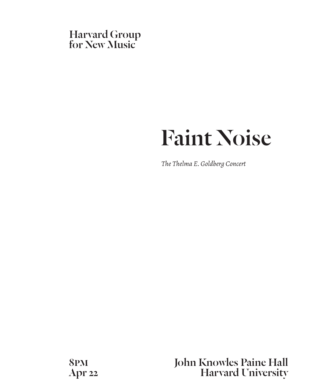

# Faint Noise

*The Thelma E. Goldberg Concert*

8pm John Knowles Paine Hall Apr 22 Harvard University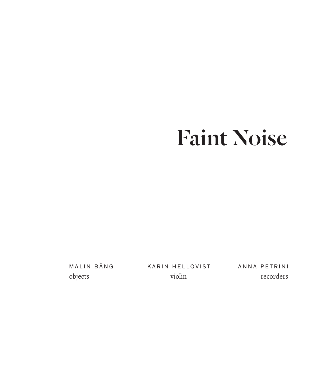# Faint Noise

Malin Bång objects

Karin Hellqvist violin

A nna Petrini recorders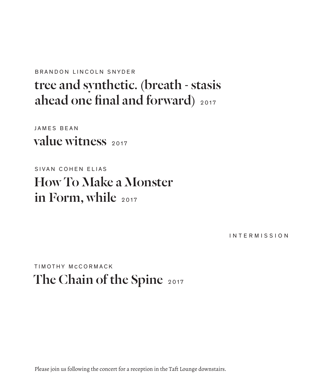## BRANDON LINCOLN SNYDER tree and synthetic. (breath - stasis ahead one final and forward) 2017

JAMES BEAN value witness 2017

SIVAN COHEN ELIAS How To Make a Monster in Form, while 2017

inter m ission

TIM OTHY MCCORMACK The Chain of the Spine 2017

Please join us following the concert for a reception in the Taft Lounge downstairs.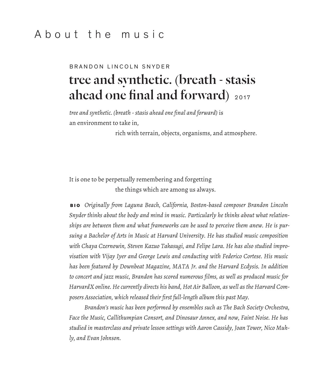## About the music

## BRANDON LINCOLN SNYDER tree and synthetic. (breath - stasis ahead one final and forward) <sup>2017</sup>

*tree and synthetic. (breath - stasis ahead one final and forward)* is an environment to take in,

rich with terrain, objects, organisms, and atmosphere.

It is one to be perpetually remembering and forgetting the things which are among us always.

 b io *Originally from Laguna Beach, California, Boston-based composer Brandon Lincoln Snyder thinks about the body and mind in music. Particularly he thinks about what relationships are between them and what frameworks can be used to perceive them anew. He is pursuing a Bachelor of Arts in Music at Harvard University. He has studied music composition with Chaya Czernowin, Steven Kazuo Takasugi, and Felipe Lara. He has also studied improvisation with Vijay Iyer and George Lewis and conducting with Federico Cortese. His music has been featured by Downbeat Magazine, MATA Jr. and the Harvard Ecdysis. In addition to concert and jazz music, Brandon has scored numerous films, as well as produced music for HarvardX online. He currently directs his band, Hot Air Balloon, as well as the Harvard Composers Association, which released their first full-length album this past May.*

*Brandon's music has been performed by ensembles such as The Bach Society Orchestra, Face the Music, Callithumpian Consort, and Dinosaur Annex, and now, Faint Noise. He has studied in masterclass and private lesson settings with Aaron Cassidy, Joan Tower, Nico Muhly, and Evan Johnson.*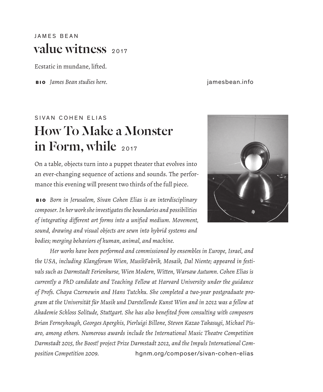### JAMES BEAN value witness 2017

Ecstatic in mundane, lifted.

b io *James Bean studies here.* jamesbean.info

## SIVAN COHEN ELIAS How To Make a Monster in Form, while 2017

On a table, objects turn into a puppet theater that evolves into an ever-changing sequence of actions and sounds. The performance this evening will present two thirds of the full piece.

 b io *Born in Jerusalem, Sivan Cohen Elias is an interdisciplinary composer. In her work she investigates the boundaries and possibilities of integrating different art forms into a unified medium. Movement, sound, drawing and visual objects are sewn into hybrid systems and bodies; merging behaviors of human, animal, and machine.*

*Her works have been performed and commissioned by ensembles in Europe, Israel, and the USA, including Klangforum Wien, MusikFabrik, Mosaik, Dal Niente; appeared in festivals such as Darmstadt Ferienkurse, Wien Modern, Witten, Warsaw Autumn. Cohen Elias is currently a PhD candidate and Teaching Fellow at Harvard University under the guidance of Profs. Chaya Czernowin and Hans Tutchku. She completed a two-year postgraduate program at the Universität für Musik und Darstellende Kunst Wien and in 2012 was a fellow at Akademie Schloss Solitude, Stuttgart. She has also benefited from consulting with composers Brian Ferneyhough, Georges Aperghis, Pierluigi Billone, Steven Kazao Takasugi, Michael Pisaro, among others. Numerous awards include the International Music Theatre Competition Darmstadt 2015, the Boost! project Prize Darmstadt 2012, and the Impuls International Composition Competition 2009.* hgnm.org/composer/sivan-cohen-elias

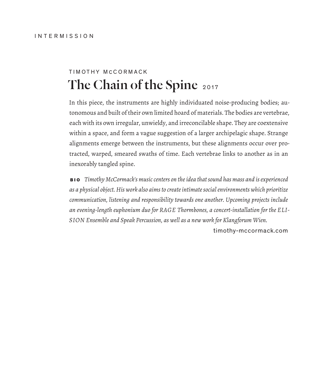## TIM OTHY MCCORMACK The Chain of the Spine 2017

In this piece, the instruments are highly individuated noise-producing bodies; autonomous and built of their own limited hoard of materials. The bodies are vertebrae, each with its own irregular, unwieldy, and irreconcilable shape. They are coextensive within a space, and form a vague suggestion of a larger archipelagic shape. Strange alignments emerge between the instruments, but these alignments occur over protracted, warped, smeared swaths of time. Each vertebrae links to another as in an inexorably tangled spine.

 b io *Timothy McCormack's music centers on the idea that sound has mass and is experienced as a physical object. His work also aims to create intimate social environments which prioritize communication, listening and responsibility towards one another. Upcoming projects include an evening-length euphonium duo for RAGE Thormbones, a concert-installation for the ELI-SION Ensemble and Speak Percussion, as well as a new work for Klangforum Wien.* 

timothy-mccormack.com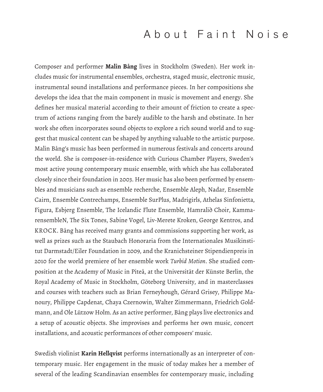## About Faint Noise

Composer and performer **Malin Bång** lives in Stockholm (Sweden). Her work includes music for instrumental ensembles, orchestra, staged music, electronic music, instrumental sound installations and performance pieces. In her compositions she develops the idea that the main component in music is movement and energy. She defines her musical material according to their amount of friction to create a spectrum of actions ranging from the barely audible to the harsh and obstinate. In her work she often incorporates sound objects to explore a rich sound world and to suggest that musical content can be shaped by anything valuable to the artistic purpose. Malin Bång's music has been performed in numerous festivals and concerts around the world. She is composer-in-residence with Curious Chamber Players, Sweden's most active young contemporary music ensemble, with which she has collaborated closely since their foundation in 2003. Her music has also been performed by ensembles and musicians such as ensemble recherche, Ensemble Aleph, Nadar, Ensemble Cairn, Ensemble Contrechamps, Ensemble SurPlus, Madrigirls, Athelas Sinfonietta, Figura, Esbjerg Ensemble, The Icelandic Flute Ensemble, Hamrali∂ Choir, KammarensembleN, The Six Tones, Sabine Vogel, Liv-Merete Kroken, George Kentros, and KROCK. Bång has received many grants and commissions supporting her work, as well as prizes such as the Staubach Honoraria from the Internationales Musikinstitut Darmstadt/Eiler Foundation in 2009, and the Kranichsteiner Stipendienpreis in 2010 for the world premiere of her ensemble work *Turbid Motion*. She studied composition at the Academy of Music in Piteå, at the Universität der Künste Berlin, the Royal Academy of Music in Stockholm, Göteborg University, and in masterclasses and courses with teachers such as Brian Ferneyhough, Gérard Grisey, Philippe Manoury, Philippe Capdenat, Chaya Czernowin, Walter Zimmermann, Friedrich Goldmann, and Ole Lützow Holm. As an active performer, Bång plays live electronics and a setup of acoustic objects. She improvises and performs her own music, concert installations, and acoustic performances of other composers' music.

Swedish violinist **Karin Hellqvist** performs internationally as an interpreter of contemporary music. Her engagement in the music of today makes her a member of several of the leading Scandinavian ensembles for contemporary music, including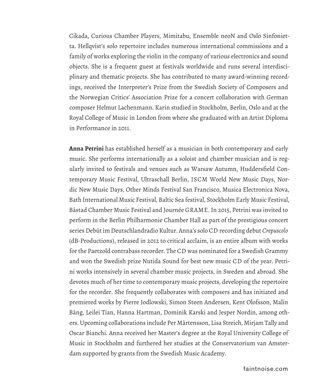Cikada, Curious Chamber Players, Mimitabu, Ensemble neoN and Oslo Sinfonietta. Hellqvist's solo repertoire includes numerous international commissions and a family of works exploring the violin in the company of various electronics and sound objects. She is a frequent guest at festivals worldwide and runs several interdisciplinary and thematic projects. She has contributed to many award-winning recordings, received the Interpreter's Prize from the Swedish Society of Composers and the Norwegian Critics' Association Prize for a concert collaboration with German composer Helmut Lachenmann. Karin studied in Stockholm, Berlin, Oslo and at the Royal College of Music in London from where she graduated with an Artist Diploma in Performance in 2011.

**Anna Petrini** has established herself as a musician in both contemporary and early music. She performs internationally as a soloist and chamber musician and is regularly invited to festivals and venues such as Warsaw Autumn, Huddersfield Contemporary Music Festival, Ultraschall Berlin, ISCM World New Music Days, Nordic New Music Days, Other Minds Festival San Francisco, Musica Electronica Nova, Bath International Music Festival, Baltic Sea festival, Stockholm Early Music Festival, Båstad Chamber Music Festival and Journée GRAME. In 2015, Petrini was invited to perform in the Berlin Philharmonie Chamber Hall as part of the prestigious concert series Debüt im Deutschlandradio Kultur. Anna's solo CD recording debut *Crepuscolo* (dB-Productions), released in 2012 to critical acclaim, is an entire album with works for the Paetzold contrabass recorder. The CD was nominated for a Swedish Grammy and won the Swedish prize Nutida Sound for best new music CD of the year. Petrini works intensively in several chamber music projects, in Sweden and abroad. She devotes much of her time to contemporary music projects, developing the repertoire for the recorder. She frequently collaborates with composers and has initiated and premiered works by Pierre Jodlowski, Simon Steen Andersen, Kent Olofsson, Malin Bång, Leilei Tian, Hanna Hartman, Dominik Karski and Jesper Nordin, among others. Upcoming collaborations include Per Mårtensson, Lisa Streich, Mirjam Tally and Oscar Bianchi. Anna received her Master's degree at the Royal University College of Music in Stockholm and furthered her studies at the Conservatorium van Amsterdam supported by grants from the Swedish Music Academy.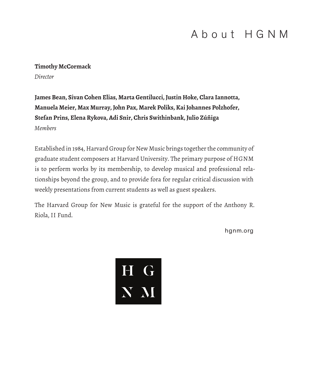## About HGNM

#### **Timothy McCormack**

*Director*

**James Bean, Sivan Cohen Elias, Marta Gentilucci, Justin Hoke, Clara Iannotta, Manuela Meier, Max Murray, John Pax, Marek Poliks, Kai Johannes Polzhofer, Stefan Prins, Elena Rykova, Adi Snir, Chris Swithinbank, Julio Zúñiga** *Members*

Established in 1984, Harvard Group for New Music brings together the community of graduate student composers at Harvard University. The primary purpose of HGNM is to perform works by its membership, to develop musical and professional relationships beyond the group, and to provide fora for regular critical discussion with weekly presentations from current students as well as guest speakers.

The Harvard Group for New Music is grateful for the support of the Anthony R. Riola, II Fund.

hgnm.org

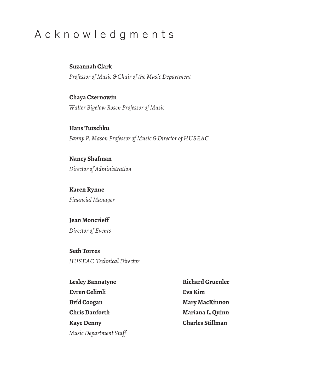## Acknowledgments

#### **Suzannah Clark**

*Professor of Music & Chair of the Music Department*

#### **Chaya Czernowin**

*Walter Bigelow Rosen Professor of Music*

**Hans Tutschku** *Fanny P. Mason Professor of Music & Director of HUSEAC*

#### **Nancy Shafman**

*Director of Administration*

#### **Karen Rynne** *Financial Manager*

### **Jean Moncrieff**

*Director of Events*

#### **Seth Torres**

*HUSEAC Technical Director*

| Lesley Bannatyne       | <b>Richard Gruenler</b> |
|------------------------|-------------------------|
| Evren Celimli          | Eva Kim                 |
| Bríd Coogan            | Mary MacKinnon          |
| <b>Chris Danforth</b>  | Mariana L. Quinn        |
| <b>Kave Denny</b>      | <b>Charles Stillman</b> |
| Music Department Staff |                         |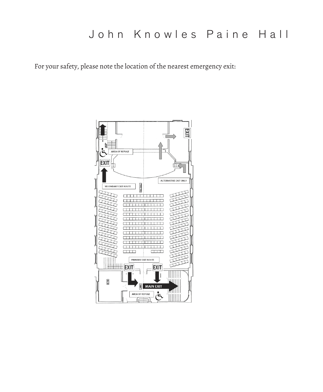## John Knowles Paine Hall

For your safety, please note the location of the nearest emergency exit: